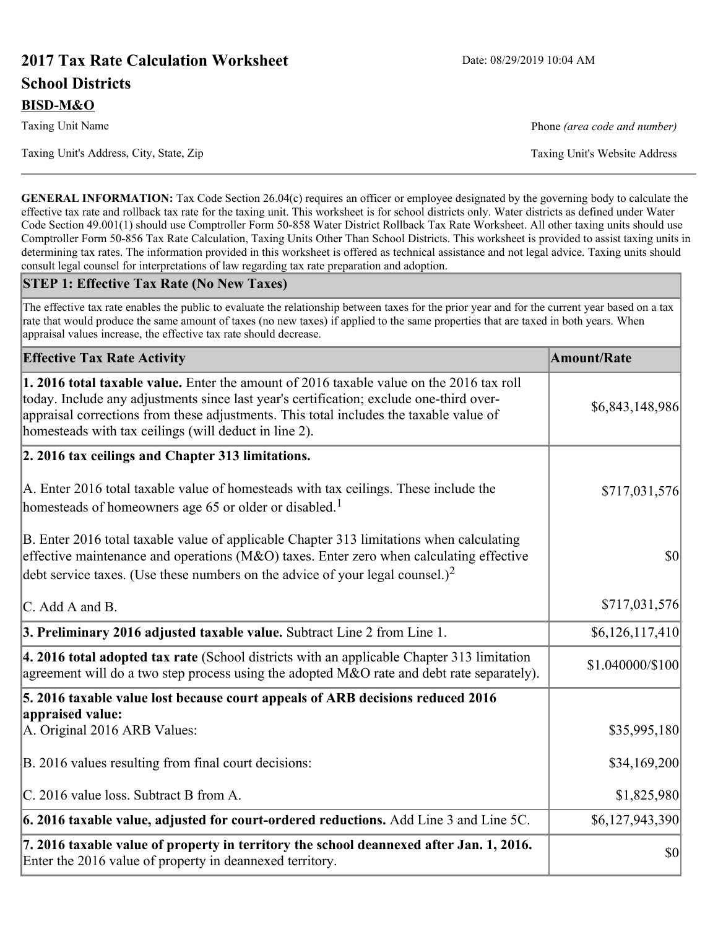# **2017 Tax Rate Calculation Worksheet** Date: 08/29/2019 10:04 AM **School Districts BISD-M&O**

Taxing Unit's Address, City, State, Zip Taxing Unit's Website Address

Taxing Unit Name **Phone** *(area code and number)* Phone *(area code and number)* 

**GENERAL INFORMATION:** Tax Code Section 26.04(c) requires an officer or employee designated by the governing body to calculate the effective tax rate and rollback tax rate for the taxing unit. This worksheet is for school districts only. Water districts as defined under Water Code Section 49.001(1) should use Comptroller Form 50-858 Water District Rollback Tax Rate Worksheet. All other taxing units should use Comptroller Form 50-856 Tax Rate Calculation, Taxing Units Other Than School Districts. This worksheet is provided to assist taxing units in determining tax rates. The information provided in this worksheet is offered as technical assistance and not legal advice. Taxing units should consult legal counsel for interpretations of law regarding tax rate preparation and adoption.

#### **STEP 1: Effective Tax Rate (No New Taxes)**

The effective tax rate enables the public to evaluate the relationship between taxes for the prior year and for the current year based on a tax rate that would produce the same amount of taxes (no new taxes) if applied to the same properties that are taxed in both years. When appraisal values increase, the effective tax rate should decrease.

| <b>Effective Tax Rate Activity</b>                                                                                                                                                                                                                                                                                                     | <b>Amount/Rate</b> |
|----------------------------------------------------------------------------------------------------------------------------------------------------------------------------------------------------------------------------------------------------------------------------------------------------------------------------------------|--------------------|
| 1. 2016 total taxable value. Enter the amount of 2016 taxable value on the 2016 tax roll<br>today. Include any adjustments since last year's certification; exclude one-third over-<br>appraisal corrections from these adjustments. This total includes the taxable value of<br>homesteads with tax ceilings (will deduct in line 2). | \$6,843,148,986    |
| 2. 2016 tax ceilings and Chapter 313 limitations.                                                                                                                                                                                                                                                                                      |                    |
| A. Enter 2016 total taxable value of homesteads with tax ceilings. These include the<br>homesteads of homeowners age 65 or older or disabled. <sup>1</sup>                                                                                                                                                                             | \$717,031,576      |
| B. Enter 2016 total taxable value of applicable Chapter 313 limitations when calculating<br>effective maintenance and operations ( $M&O$ ) taxes. Enter zero when calculating effective<br>debt service taxes. (Use these numbers on the advice of your legal counsel.) <sup>2</sup>                                                   | 30                 |
| C. Add A and B.                                                                                                                                                                                                                                                                                                                        | \$717,031,576      |
| 3. Preliminary 2016 adjusted taxable value. Subtract Line 2 from Line 1.                                                                                                                                                                                                                                                               | \$6,126,117,410    |
| $\vert$ 4. 2016 total adopted tax rate (School districts with an applicable Chapter 313 limitation<br>agreement will do a two step process using the adopted M&O rate and debt rate separately).                                                                                                                                       | \$1.040000/\$100   |
| 5. 2016 taxable value lost because court appeals of ARB decisions reduced 2016                                                                                                                                                                                                                                                         |                    |
| appraised value:<br>A. Original 2016 ARB Values:                                                                                                                                                                                                                                                                                       | \$35,995,180       |
| B. 2016 values resulting from final court decisions:                                                                                                                                                                                                                                                                                   | \$34,169,200       |
| C. 2016 value loss. Subtract B from A.                                                                                                                                                                                                                                                                                                 | \$1,825,980        |
| $\vert$ 6. 2016 taxable value, adjusted for court-ordered reductions. Add Line 3 and Line 5C.                                                                                                                                                                                                                                          | \$6,127,943,390    |
| 7. 2016 taxable value of property in territory the school deannexed after Jan. 1, 2016.<br>Enter the 2016 value of property in deannexed territory.                                                                                                                                                                                    | $ 10\rangle$       |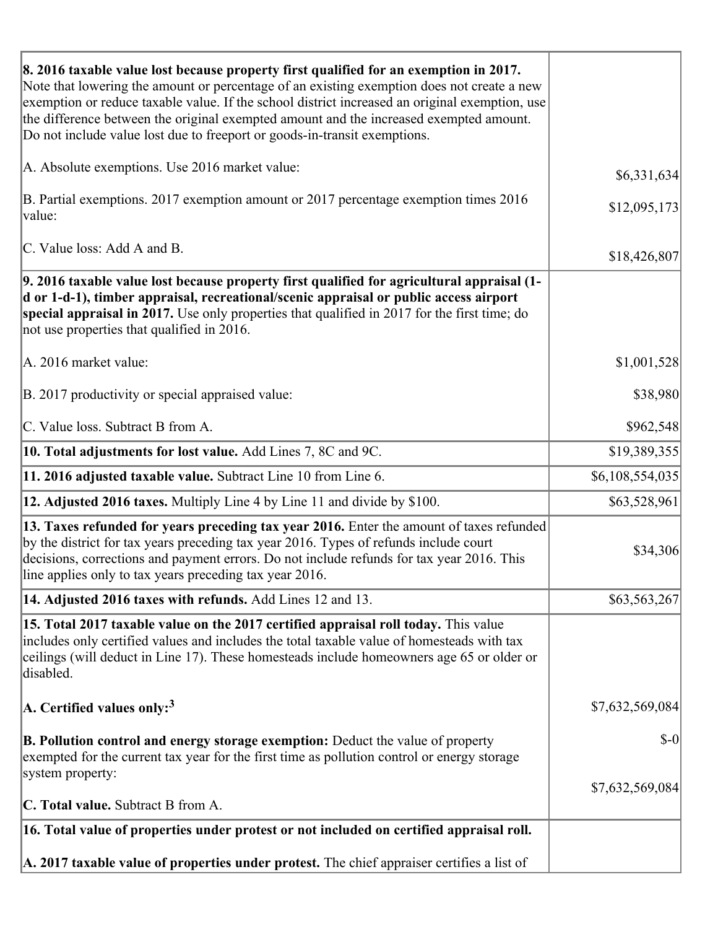| 8. 2016 taxable value lost because property first qualified for an exemption in 2017.<br>Note that lowering the amount or percentage of an existing exemption does not create a new<br>exemption or reduce taxable value. If the school district increased an original exemption, use<br>the difference between the original exempted amount and the increased exempted amount.<br>Do not include value lost due to freeport or goods-in-transit exemptions. |                 |
|--------------------------------------------------------------------------------------------------------------------------------------------------------------------------------------------------------------------------------------------------------------------------------------------------------------------------------------------------------------------------------------------------------------------------------------------------------------|-----------------|
| A. Absolute exemptions. Use 2016 market value:                                                                                                                                                                                                                                                                                                                                                                                                               | \$6,331,634     |
| B. Partial exemptions. 2017 exemption amount or 2017 percentage exemption times 2016<br>value:                                                                                                                                                                                                                                                                                                                                                               | \$12,095,173    |
| C. Value loss: Add A and B.                                                                                                                                                                                                                                                                                                                                                                                                                                  | \$18,426,807    |
| 9. 2016 taxable value lost because property first qualified for agricultural appraisal (1-<br>d or 1-d-1), timber appraisal, recreational/scenic appraisal or public access airport<br>special appraisal in 2017. Use only properties that qualified in 2017 for the first time; do<br>not use properties that qualified in 2016.                                                                                                                            |                 |
| A. 2016 market value:                                                                                                                                                                                                                                                                                                                                                                                                                                        | \$1,001,528     |
| B. 2017 productivity or special appraised value:                                                                                                                                                                                                                                                                                                                                                                                                             | \$38,980        |
| C. Value loss. Subtract B from A.                                                                                                                                                                                                                                                                                                                                                                                                                            | \$962,548       |
| 10. Total adjustments for lost value. Add Lines 7, 8C and 9C.                                                                                                                                                                                                                                                                                                                                                                                                | \$19,389,355    |
| 11. 2016 adjusted taxable value. Subtract Line 10 from Line 6.                                                                                                                                                                                                                                                                                                                                                                                               | \$6,108,554,035 |
| <b>12. Adjusted 2016 taxes.</b> Multiply Line 4 by Line 11 and divide by \$100.                                                                                                                                                                                                                                                                                                                                                                              | \$63,528,961    |
| [13. Taxes refunded for years preceding tax year 2016. Enter the amount of taxes refunded]<br>by the district for tax years preceding tax year 2016. Types of refunds include court<br>decisions, corrections and payment errors. Do not include refunds for tax year 2016. This<br>line applies only to tax years preceding tax year 2016.                                                                                                                  | \$34,306        |
| 14. Adjusted 2016 taxes with refunds. Add Lines 12 and 13.                                                                                                                                                                                                                                                                                                                                                                                                   | \$63,563,267    |
| 15. Total 2017 taxable value on the 2017 certified appraisal roll today. This value<br>includes only certified values and includes the total taxable value of homesteads with tax<br>ceilings (will deduct in Line 17). These homesteads include homeowners age 65 or older or<br>disabled.                                                                                                                                                                  |                 |
| A. Certified values only: <sup>3</sup>                                                                                                                                                                                                                                                                                                                                                                                                                       | \$7,632,569,084 |
| <b>B. Pollution control and energy storage exemption:</b> Deduct the value of property<br>exempted for the current tax year for the first time as pollution control or energy storage<br>system property:                                                                                                                                                                                                                                                    | $\delta$ -0     |
| <b>C. Total value.</b> Subtract B from A.                                                                                                                                                                                                                                                                                                                                                                                                                    | \$7,632,569,084 |
| 16. Total value of properties under protest or not included on certified appraisal roll.                                                                                                                                                                                                                                                                                                                                                                     |                 |
| A. 2017 taxable value of properties under protest. The chief appraiser certifies a list of                                                                                                                                                                                                                                                                                                                                                                   |                 |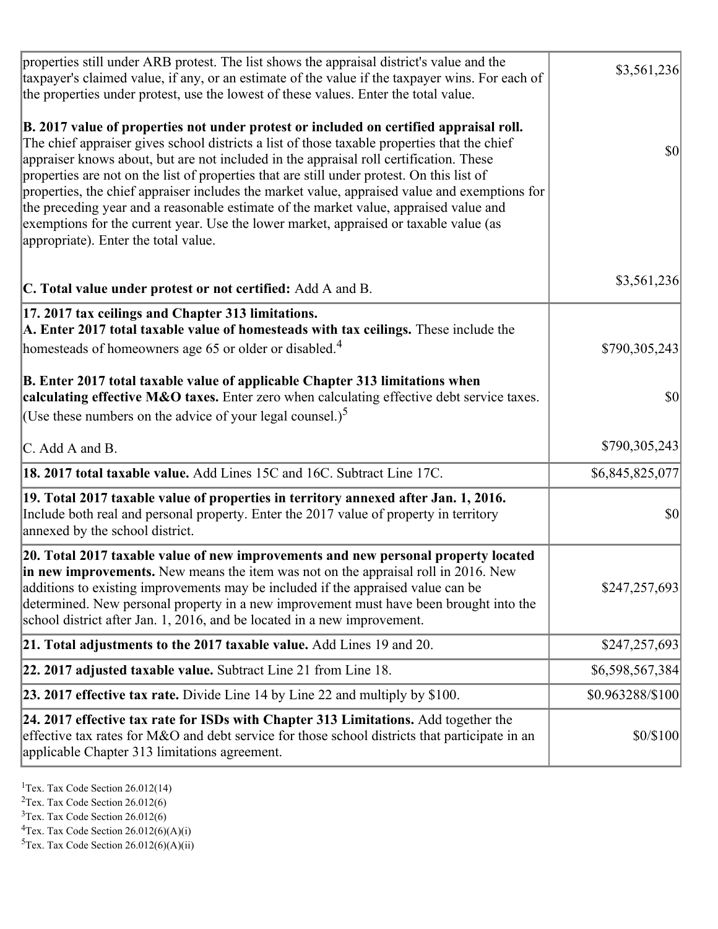| properties still under ARB protest. The list shows the appraisal district's value and the<br>taxpayer's claimed value, if any, or an estimate of the value if the taxpayer wins. For each of<br>the properties under protest, use the lowest of these values. Enter the total value.                                                                                                                                                                                                                                                                                                                                                                                                                      | \$3,561,236      |
|-----------------------------------------------------------------------------------------------------------------------------------------------------------------------------------------------------------------------------------------------------------------------------------------------------------------------------------------------------------------------------------------------------------------------------------------------------------------------------------------------------------------------------------------------------------------------------------------------------------------------------------------------------------------------------------------------------------|------------------|
| B. 2017 value of properties not under protest or included on certified appraisal roll.<br>The chief appraiser gives school districts a list of those taxable properties that the chief<br>appraiser knows about, but are not included in the appraisal roll certification. These<br>properties are not on the list of properties that are still under protest. On this list of<br>properties, the chief appraiser includes the market value, appraised value and exemptions for<br>the preceding year and a reasonable estimate of the market value, appraised value and<br>exemptions for the current year. Use the lower market, appraised or taxable value (as<br>appropriate). Enter the total value. | <b>\$0</b>       |
| C. Total value under protest or not certified: Add A and B.                                                                                                                                                                                                                                                                                                                                                                                                                                                                                                                                                                                                                                               | \$3,561,236      |
| 17. 2017 tax ceilings and Chapter 313 limitations.<br>A. Enter 2017 total taxable value of homesteads with tax ceilings. These include the<br>homesteads of homeowners age 65 or older or disabled. <sup>4</sup>                                                                                                                                                                                                                                                                                                                                                                                                                                                                                          | \$790,305,243    |
| B. Enter 2017 total taxable value of applicable Chapter 313 limitations when<br>calculating effective M&O taxes. Enter zero when calculating effective debt service taxes.<br>(Use these numbers on the advice of your legal counsel.) <sup>5</sup>                                                                                                                                                                                                                                                                                                                                                                                                                                                       | $ 10\rangle$     |
| C. Add A and B.                                                                                                                                                                                                                                                                                                                                                                                                                                                                                                                                                                                                                                                                                           | \$790,305,243    |
| 18. 2017 total taxable value. Add Lines 15C and 16C. Subtract Line 17C.                                                                                                                                                                                                                                                                                                                                                                                                                                                                                                                                                                                                                                   | \$6,845,825,077  |
| 19. Total 2017 taxable value of properties in territory annexed after Jan. 1, 2016.<br>Include both real and personal property. Enter the 2017 value of property in territory<br>annexed by the school district.                                                                                                                                                                                                                                                                                                                                                                                                                                                                                          | \$0              |
| 20. Total 2017 taxable value of new improvements and new personal property located<br>in new improvements. New means the item was not on the appraisal roll in 2016. New<br>additions to existing improvements may be included if the appraised value can be<br>determined. New personal property in a new improvement must have been brought into the<br>school district after Jan. 1, 2016, and be located in a new improvement.                                                                                                                                                                                                                                                                        | \$247,257,693    |
| 21. Total adjustments to the 2017 taxable value. Add Lines 19 and 20.                                                                                                                                                                                                                                                                                                                                                                                                                                                                                                                                                                                                                                     | \$247,257,693    |
| $ 22.2017$ adjusted taxable value. Subtract Line 21 from Line 18.                                                                                                                                                                                                                                                                                                                                                                                                                                                                                                                                                                                                                                         | \$6,598,567,384  |
| <b>23. 2017 effective tax rate.</b> Divide Line 14 by Line 22 and multiply by \$100.                                                                                                                                                                                                                                                                                                                                                                                                                                                                                                                                                                                                                      | \$0.963288/\$100 |
| 24. 2017 effective tax rate for ISDs with Chapter 313 Limitations. Add together the<br>effective tax rates for M&O and debt service for those school districts that participate in an<br>applicable Chapter 313 limitations agreement.                                                                                                                                                                                                                                                                                                                                                                                                                                                                    | \$0/\$100        |

<sup>1</sup>Tex. Tax Code Section  $26.012(14)$ 

<sup>2</sup>Tex. Tax Code Section 26.012(6)

 $3$ Tex. Tax Code Section 26.012(6)

 ${}^{4}$ Tex. Tax Code Section 26.012(6)(A)(i)

 ${}^{5}$ Tex. Tax Code Section 26.012(6)(A)(ii)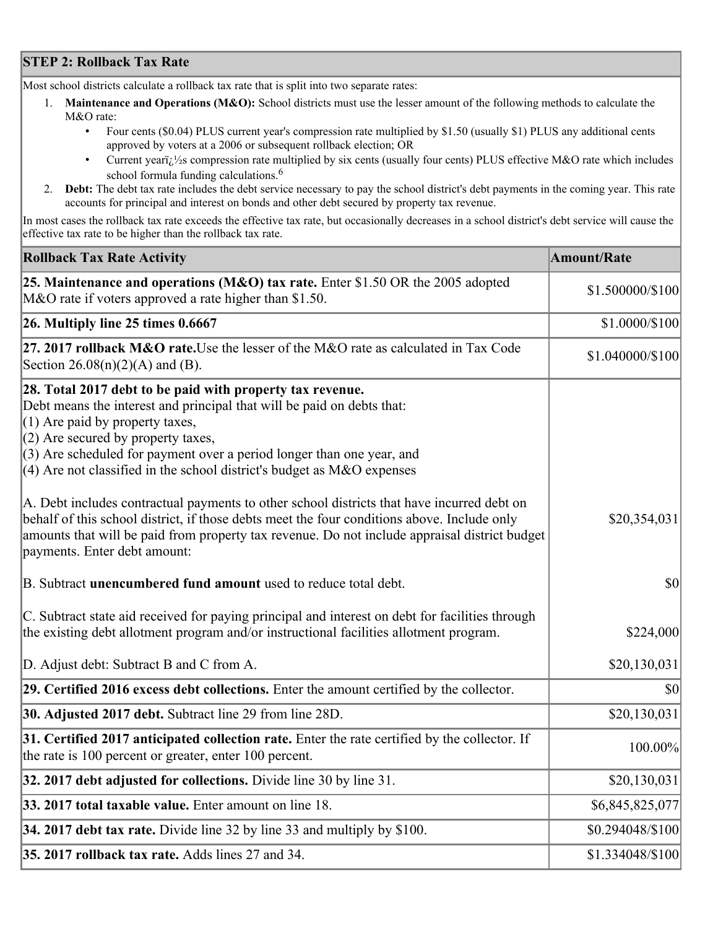## **STEP 2: Rollback Tax Rate**

Most school districts calculate a rollback tax rate that is split into two separate rates:

- 1. **Maintenance and Operations (M&O):** School districts must use the lesser amount of the following methods to calculate the M&O rate:
	- Four cents (\$0.04) PLUS current year's compression rate multiplied by \$1.50 (usually \$1) PLUS any additional cents approved by voters at a 2006 or subsequent rollback election; OR
	- Current year $i/\frac{1}{2}$ s compression rate multiplied by six cents (usually four cents) PLUS effective M&O rate which includes school formula funding calculations.<sup>6</sup>
- 2. **Debt:** The debt tax rate includes the debt service necessary to pay the school district's debt payments in the coming year. This rate accounts for principal and interest on bonds and other debt secured by property tax revenue.

In most cases the rollback tax rate exceeds the effective tax rate, but occasionally decreases in a school district's debt service will cause the effective tax rate to be higher than the rollback tax rate.

| <b>Rollback Tax Rate Activity</b>                                                                                                                                                                                                                                                                                                                                       | <b>Amount/Rate</b> |
|-------------------------------------------------------------------------------------------------------------------------------------------------------------------------------------------------------------------------------------------------------------------------------------------------------------------------------------------------------------------------|--------------------|
| 25. Maintenance and operations (M&O) tax rate. Enter \$1.50 OR the 2005 adopted<br>M&O rate if voters approved a rate higher than \$1.50.                                                                                                                                                                                                                               | \$1.500000/\$100   |
| $26.$ Multiply line 25 times $0.6667$                                                                                                                                                                                                                                                                                                                                   | \$1.0000/\$100     |
| 27. 2017 rollback M&O rate. Use the lesser of the M&O rate as calculated in Tax Code<br>Section 26.08(n)(2)(A) and (B).                                                                                                                                                                                                                                                 | \$1.040000/\$100   |
| 28. Total 2017 debt to be paid with property tax revenue.<br>Debt means the interest and principal that will be paid on debts that:<br>$(1)$ Are paid by property taxes,<br>$(2)$ Are secured by property taxes,<br>$(3)$ Are scheduled for payment over a period longer than one year, and<br>$(4)$ Are not classified in the school district's budget as M&O expenses |                    |
| A. Debt includes contractual payments to other school districts that have incurred debt on<br>behalf of this school district, if those debts meet the four conditions above. Include only<br>amounts that will be paid from property tax revenue. Do not include appraisal district budget<br>payments. Enter debt amount:                                              | \$20,354,031       |
| B. Subtract unencumbered fund amount used to reduce total debt.                                                                                                                                                                                                                                                                                                         | \$0                |
| C. Subtract state aid received for paying principal and interest on debt for facilities through<br>the existing debt allotment program and/or instructional facilities allotment program.                                                                                                                                                                               | \$224,000          |
| D. Adjust debt: Subtract B and C from A.                                                                                                                                                                                                                                                                                                                                | \$20,130,031       |
| 29. Certified 2016 excess debt collections. Enter the amount certified by the collector.                                                                                                                                                                                                                                                                                | \$0                |
| <b>30. Adjusted 2017 debt.</b> Subtract line 29 from line 28D.                                                                                                                                                                                                                                                                                                          | \$20,130,031       |
| 31. Certified 2017 anticipated collection rate. Enter the rate certified by the collector. If<br>the rate is 100 percent or greater, enter 100 percent.                                                                                                                                                                                                                 | 100.00%            |
| 32. 2017 debt adjusted for collections. Divide line 30 by line 31.                                                                                                                                                                                                                                                                                                      | \$20,130,031       |
| 33. 2017 total taxable value. Enter amount on line 18.                                                                                                                                                                                                                                                                                                                  | \$6,845,825,077    |
| 34. 2017 debt tax rate. Divide line 32 by line 33 and multiply by \$100.                                                                                                                                                                                                                                                                                                | \$0.294048/\$100   |
| 35. 2017 rollback tax rate. Adds lines 27 and 34.                                                                                                                                                                                                                                                                                                                       | \$1.334048/\$100   |